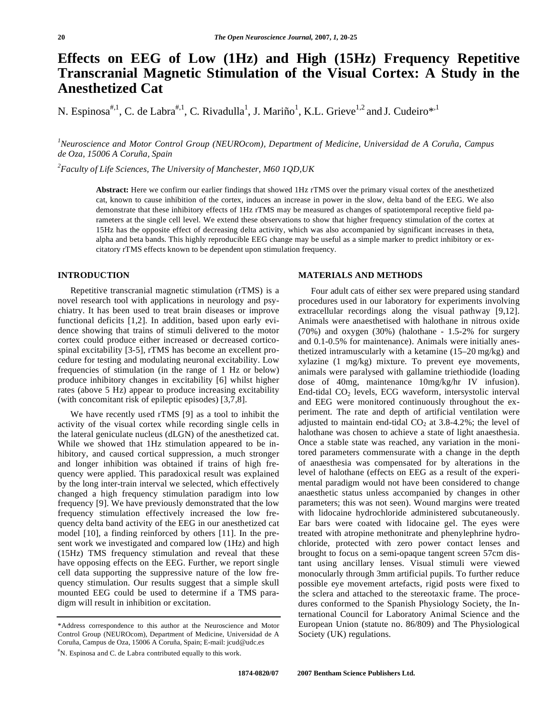# **Effects on EEG of Low (1Hz) and High (15Hz) Frequency Repetitive Transcranial Magnetic Stimulation of the Visual Cortex: A Study in the Anesthetized Cat**

N. Espinosa<sup>#,1</sup>, C. de Labra<sup>#,1</sup>, C. Rivadulla<sup>1</sup>, J. Mariño<sup>1</sup>, K.L. Grieve<sup>1,2</sup> and J. Cudeiro<sup>\*,1</sup>

*1 Neuroscience and Motor Control Group (NEUROcom), Department of Medicine, Universidad de A Coruña, Campus de Oza, 15006 A Coruña, Spain* 

*2 Faculty of Life Sciences, The University of Manchester, M60 1QD,UK* 

**Abstract:** Here we confirm our earlier findings that showed 1Hz rTMS over the primary visual cortex of the anesthetized cat, known to cause inhibition of the cortex, induces an increase in power in the slow, delta band of the EEG. We also demonstrate that these inhibitory effects of 1Hz rTMS may be measured as changes of spatiotemporal receptive field parameters at the single cell level. We extend these observations to show that higher frequency stimulation of the cortex at 15Hz has the opposite effect of decreasing delta activity, which was also accompanied by significant increases in theta, alpha and beta bands. This highly reproducible EEG change may be useful as a simple marker to predict inhibitory or excitatory rTMS effects known to be dependent upon stimulation frequency.

# **INTRODUCTION**

 Repetitive transcranial magnetic stimulation (rTMS) is a novel research tool with applications in neurology and psychiatry. It has been used to treat brain diseases or improve functional deficits [1,2]. In addition, based upon early evidence showing that trains of stimuli delivered to the motor cortex could produce either increased or decreased corticospinal excitability [3-5], rTMS has become an excellent procedure for testing and modulating neuronal excitability. Low frequencies of stimulation (in the range of 1 Hz or below) produce inhibitory changes in excitability [6] whilst higher rates (above 5 Hz) appear to produce increasing excitability (with concomitant risk of epileptic episodes) [3,7,8].

 We have recently used rTMS [9] as a tool to inhibit the activity of the visual cortex while recording single cells in the lateral geniculate nucleus (dLGN) of the anesthetized cat. While we showed that 1Hz stimulation appeared to be inhibitory, and caused cortical suppression, a much stronger and longer inhibition was obtained if trains of high frequency were applied. This paradoxical result was explained by the long inter-train interval we selected, which effectively changed a high frequency stimulation paradigm into low frequency [9]. We have previously demonstrated that the low frequency stimulation effectively increased the low frequency delta band activity of the EEG in our anesthetized cat model [10], a finding reinforced by others [11]. In the present work we investigated and compared low (1Hz) and high (15Hz) TMS frequency stimulation and reveal that these have opposing effects on the EEG. Further, we report single cell data supporting the suppressive nature of the low frequency stimulation. Our results suggest that a simple skull mounted EEG could be used to determine if a TMS paradigm will result in inhibition or excitation.

## **MATERIALS AND METHODS**

 Four adult cats of either sex were prepared using standard procedures used in our laboratory for experiments involving extracellular recordings along the visual pathway [9,12]. Animals were anaesthetised with halothane in nitrous oxide (70%) and oxygen (30%) (halothane - 1.5-2% for surgery and 0.1-0.5% for maintenance). Animals were initially anesthetized intramuscularly with a ketamine (15–20 mg/kg) and xylazine (1 mg/kg) mixture. To prevent eye movements, animals were paralysed with gallamine triethiodide (loading dose of 40mg, maintenance 10mg/kg/hr IV infusion). End-tidal CO<sub>2</sub> levels, ECG waveform, intersystolic interval and EEG were monitored continuously throughout the experiment. The rate and depth of artificial ventilation were adjusted to maintain end-tidal  $CO<sub>2</sub>$  at 3.8-4.2%; the level of halothane was chosen to achieve a state of light anaesthesia. Once a stable state was reached, any variation in the monitored parameters commensurate with a change in the depth of anaesthesia was compensated for by alterations in the level of halothane (effects on EEG as a result of the experimental paradigm would not have been considered to change anaesthetic status unless accompanied by changes in other parameters; this was not seen). Wound margins were treated with lidocaine hydrochloride administered subcutaneously. Ear bars were coated with lidocaine gel. The eyes were treated with atropine methonitrate and phenylephrine hydrochloride, protected with zero power contact lenses and brought to focus on a semi-opaque tangent screen 57cm distant using ancillary lenses. Visual stimuli were viewed monocularly through 3mm artificial pupils. To further reduce possible eye movement artefacts, rigid posts were fixed to the sclera and attached to the stereotaxic frame. The procedures conformed to the Spanish Physiology Society, the International Council for Laboratory Animal Science and the European Union (statute no. 86/809) and The Physiological Society (UK) regulations.

<sup>\*</sup>Address correspondence to this author at the Neuroscience and Motor Control Group (NEUROcom), Department of Medicine, Universidad de A Coruña, Campus de Oza, 15006 A Coruña, Spain; E-mail: jcud@udc.es

<sup>#</sup> N. Espinosa and C. de Labra contributed equally to this work.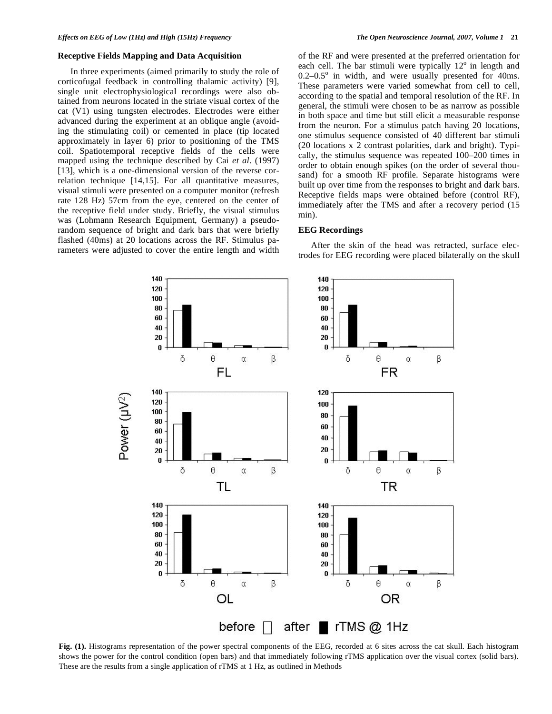## **Receptive Fields Mapping and Data Acquisition**

 In three experiments (aimed primarily to study the role of corticofugal feedback in controlling thalamic activity) [9], single unit electrophysiological recordings were also obtained from neurons located in the striate visual cortex of the cat (V1) using tungsten electrodes. Electrodes were either advanced during the experiment at an oblique angle (avoiding the stimulating coil) or cemented in place (tip located approximately in layer 6) prior to positioning of the TMS coil. Spatiotemporal receptive fields of the cells were mapped using the technique described by Cai *et al*. (1997) [13], which is a one-dimensional version of the reverse correlation technique [14,15]. For all quantitative measures, visual stimuli were presented on a computer monitor (refresh rate 128 Hz) 57cm from the eye, centered on the center of the receptive field under study. Briefly, the visual stimulus was (Lohmann Research Equipment, Germany) a pseudorandom sequence of bright and dark bars that were briefly flashed (40ms) at 20 locations across the RF. Stimulus parameters were adjusted to cover the entire length and width

of the RF and were presented at the preferred orientation for each cell. The bar stimuli were typically  $12^{\circ}$  in length and  $0.2-0.5^{\circ}$  in width, and were usually presented for 40ms. These parameters were varied somewhat from cell to cell, according to the spatial and temporal resolution of the RF. In general, the stimuli were chosen to be as narrow as possible in both space and time but still elicit a measurable response from the neuron. For a stimulus patch having 20 locations, one stimulus sequence consisted of 40 different bar stimuli (20 locations x 2 contrast polarities, dark and bright). Typically, the stimulus sequence was repeated 100–200 times in order to obtain enough spikes (on the order of several thousand) for a smooth RF profile. Separate histograms were built up over time from the responses to bright and dark bars. Receptive fields maps were obtained before (control RF), immediately after the TMS and after a recovery period (15 min).

#### **EEG Recordings**

 After the skin of the head was retracted, surface electrodes for EEG recording were placed bilaterally on the skull



**Fig. (1).** Histograms representation of the power spectral components of the EEG, recorded at 6 sites across the cat skull. Each histogram shows the power for the control condition (open bars) and that immediately following rTMS application over the visual cortex (solid bars). These are the results from a single application of rTMS at 1 Hz, as outlined in Methods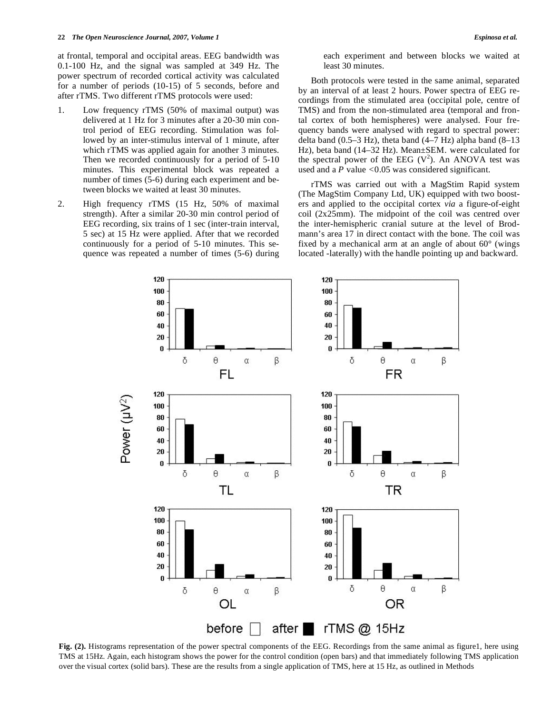at frontal, temporal and occipital areas. EEG bandwidth was 0.1-100 Hz, and the signal was sampled at 349 Hz. The power spectrum of recorded cortical activity was calculated for a number of periods (10-15) of 5 seconds, before and after rTMS. Two different rTMS protocols were used:

- 1. Low frequency rTMS (50% of maximal output) was delivered at 1 Hz for 3 minutes after a 20-30 min control period of EEG recording. Stimulation was followed by an inter-stimulus interval of 1 minute, after which rTMS was applied again for another 3 minutes. Then we recorded continuously for a period of 5-10 minutes. This experimental block was repeated a number of times (5-6) during each experiment and between blocks we waited at least 30 minutes.
- 2. High frequency rTMS (15 Hz, 50% of maximal strength). After a similar 20-30 min control period of EEG recording, six trains of 1 sec (inter-train interval, 5 sec) at 15 Hz were applied. After that we recorded continuously for a period of 5-10 minutes. This sequence was repeated a number of times (5-6) during

each experiment and between blocks we waited at least 30 minutes.

 Both protocols were tested in the same animal, separated by an interval of at least 2 hours. Power spectra of EEG recordings from the stimulated area (occipital pole, centre of TMS) and from the non-stimulated area (temporal and frontal cortex of both hemispheres) were analysed. Four frequency bands were analysed with regard to spectral power: delta band  $(0.5-3 \text{ Hz})$ , theta band  $(4-7 \text{ Hz})$  alpha band  $(8-13 \text{ Hz})$ Hz), beta band (14–32 Hz). Mean±SEM. were calculated for the spectral power of the EEG  $(V^2)$ . An ANOVA test was used and a *P* value *<*0.05 was considered significant.

 rTMS was carried out with a MagStim Rapid system (The MagStim Company Ltd, UK) equipped with two boosters and applied to the occipital cortex *via* a figure-of-eight coil (2x25mm). The midpoint of the coil was centred over the inter-hemispheric cranial suture at the level of Brodmann's area 17 in direct contact with the bone. The coil was fixed by a mechanical arm at an angle of about 60° (wings located -laterally) with the handle pointing up and backward.



Fig. (2). Histograms representation of the power spectral components of the EEG. Recordings from the same animal as figure1, here using TMS at 15Hz. Again, each histogram shows the power for the control condition (open bars) and that immediately following TMS application over the visual cortex (solid bars). These are the results from a single application of TMS, here at 15 Hz, as outlined in Methods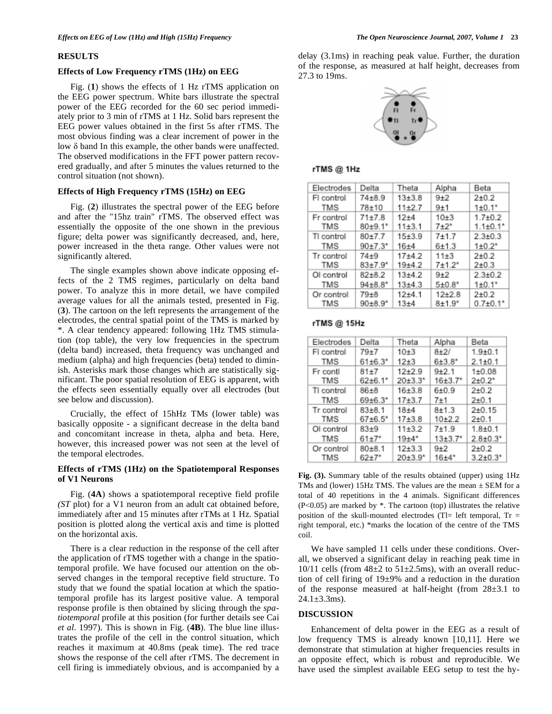#### **RESULTS**

## **Effects of Low Frequency rTMS (1Hz) on EEG**

 Fig. (**1**) shows the effects of 1 Hz rTMS application on the EEG power spectrum. White bars illustrate the spectral power of the EEG recorded for the 60 sec period immediately prior to 3 min of rTMS at 1 Hz. Solid bars represent the EEG power values obtained in the first 5s after rTMS. The most obvious finding was a clear increment of power in the low  $\delta$  band In this example, the other bands were unaffected. The observed modifications in the FFT power pattern recovered gradually, and after 5 minutes the values returned to the control situation (not shown).

## **Effects of High Frequency rTMS (15Hz) on EEG**

 Fig. (**2**) illustrates the spectral power of the EEG before and after the "15hz train" rTMS. The observed effect was essentially the opposite of the one shown in the previous figure; delta power was significantly decreased, and, here, power increased in the theta range. Other values were not significantly altered.

 The single examples shown above indicate opposing effects of the 2 TMS regimes, particularly on delta band power. To analyze this in more detail, we have compiled average values for all the animals tested, presented in Fig. (**3**). The cartoon on the left represents the arrangement of the electrodes, the central spatial point of the TMS is marked by \*. A clear tendency appeared: following 1Hz TMS stimulation (top table), the very low frequencies in the spectrum (delta band) increased, theta frequency was unchanged and medium (alpha) and high frequencies (beta) tended to diminish. Asterisks mark those changes which are statistically significant. The poor spatial resolution of EEG is apparent, with the effects seen essentially equally over all electrodes (but see below and discussion).

 Crucially, the effect of 15hHz TMs (lower table) was basically opposite - a significant decrease in the delta band and concomitant increase in theta, alpha and beta. Here, however, this increased power was not seen at the level of the temporal electrodes.

# **Effects of rTMS (1Hz) on the Spatiotemporal Responses of V1 Neurons**

 Fig. (**4A**) shows a spatiotemporal receptive field profile *(ST* plot) for a V1 neuron from an adult cat obtained before, immediately after and 15 minutes after rTMs at 1 Hz. Spatial position is plotted along the vertical axis and time is plotted on the horizontal axis.

 There is a clear reduction in the response of the cell after the application of rTMS together with a change in the spatiotemporal profile. We have focused our attention on the observed changes in the temporal receptive field structure. To study that we found the spatial location at which the spatiotemporal profile has its largest positive value. A temporal response profile is then obtained by slicing through the *spatiotemporal* profile at this position (for further details see Cai *et al*. 1997). This is shown in Fig. (**4B**). The blue line illustrates the profile of the cell in the control situation, which reaches it maximum at 40.8ms (peak time). The red trace shows the response of the cell after rTMS. The decrement in cell firing is immediately obvious, and is accompanied by a

delay (3.1ms) in reaching peak value. Further, the duration of the response, as measured at half height, decreases from 27.3 to 19ms.



## rTMS@1Hz

| Electrodes | Delta                     | Theta      | Alpha       | Beta                       |
|------------|---------------------------|------------|-------------|----------------------------|
| FI control | $74 + 8.9$                | $13 + 3.8$ | $9+2$       | $2+0.2$                    |
| TMS        | 78±10                     | $11+2.7$   | $9+1$       | $1\pm0.1*$                 |
| Fr control | $71 + 7.8$                | $12 + 4$   | $10+3$      | $1.7 + 0.2$                |
| TMS        | $80+9.1*$                 | 11±3.1     | $7 + 2*$    | $1.1 \pm 0.1$ <sup>*</sup> |
| TI control | $80 + 7.7$                | $15 + 3.9$ | $7 + 1.7$   | $2.3 + 0.3$                |
| TMS        | $90+7.3*$                 | $16 + 4$   | $6 + 1.3$   | $1 + 0.2"$                 |
| Tr control | $74 + 9$                  | $17+4.2$   | $11 + 3$    | $2 + 0.2$                  |
| TMS        | $83+7.9''$                | $19+4.2$   | $7 + 1.2^*$ | $2+0.3$                    |
| Ol control | $82 + 8.2$                | $13+4.2$   | $9+2$       | $2.3 + 0.2$                |
| TMS        | $94{\pm}8.8$ <sup>*</sup> | $13 + 4.3$ | $5 + 0.8"$  | $1\pm0.1*$                 |
| Or control | $79 + 8$                  | $12+4.1$   | $12+2.8$    | $2 + 0.2$                  |
| TMS        | $90+8.9*$                 | $13 + 4$   | $8 + 1.9"$  | $0.7{\pm}0.1*$             |

#### rTMS @ 15Hz

| Electrodes        | Delta                                 | Theta                  | Alpha                  | Beta                   |
|-------------------|---------------------------------------|------------------------|------------------------|------------------------|
| FI control        | $79 + 7$                              | $10+3$                 | $8+2/$                 | $1.9 + 0.1$            |
| TMS               | $61 + 6.3$ *                          | $12+3$                 | $6 + 3.8$ <sup>*</sup> | $2.1 + 0.1$            |
| Fr contl<br>TMS   | $81 + 7$<br>$62+6.1*$                 | $12+29$<br>$20 + 3.3'$ | $9+2.1$<br>16±3.7"     | $1 + 0.08$<br>$2+0.2*$ |
| TI control        | $86 + 8$                              | $16 + 3.8$             | $6 + 0.9$              | $2+0.2$                |
| TMS               | $69 + 6.3$ *                          | $17 + 3.7$             | 7±1                    | $2 + 0.1$              |
| Tr control<br>TMS | $83 + 8.1$<br>$67 + 6.5$ <sup>*</sup> | $18 + 4$<br>$17 + 3.8$ | $8 + 1.3$<br>$10+2.2$  | $2+0.15$<br>$2+0.1$    |
| OI control        | $83 + 9$                              | $11 + 3.2$             | 7±1.9                  | $1.8 + 0.1$            |
| TMS               | $61{\pm}7*$                           | $19 + 4*$              | $13{\pm}3.7"$          | $2.8{\pm}0.3^*$        |
| Or control        | $80 + 8.1$                            | $12 + 3.3$             | $9+2$                  | $2+0.2$                |
| TMS               | $62+7"$                               | $20 + 3.9'$            | $16 + 4"$              | $3.2{\pm}0.3^*$        |

**Fig. (3).** Summary table of the results obtained (upper) using 1Hz TMs and (lower) 15Hz TMS. The values are the mean  $\pm$  SEM for a total of 40 repetitions in the 4 animals. Significant differences (P<0.05) are marked by \*. The cartoon (top) illustrates the relative position of the skull-mounted electrodes (Tl= left temporal,  $Tr =$ right temporal, etc.) \*marks the location of the centre of the TMS coil.

 We have sampled 11 cells under these conditions. Overall, we observed a significant delay in reaching peak time in  $10/11$  cells (from  $48\pm2$  to  $51\pm2.5$ ms), with an overall reduction of cell firing of 19±9% and a reduction in the duration of the response measured at half-height (from 28±3.1 to  $24.1 \pm 3.3$ ms).

# **DISCUSSION**

 Enhancement of delta power in the EEG as a result of low frequency TMS is already known [10,11]. Here we demonstrate that stimulation at higher frequencies results in an opposite effect, which is robust and reproducible. We have used the simplest available EEG setup to test the hy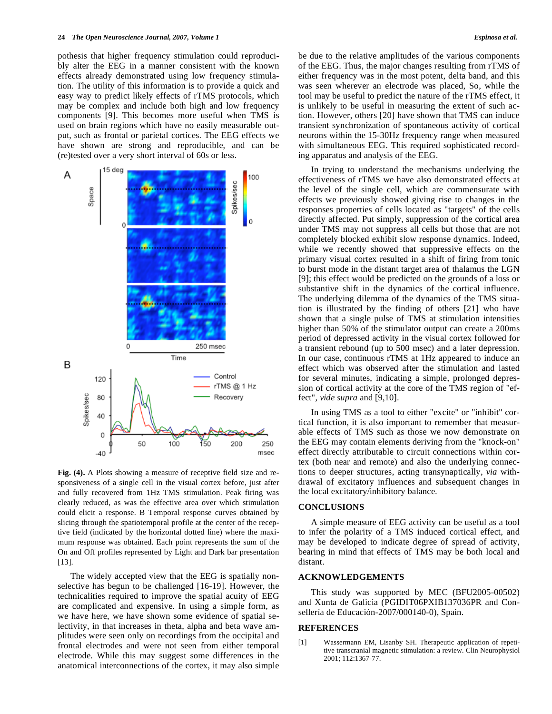pothesis that higher frequency stimulation could reproducibly alter the EEG in a manner consistent with the known effects already demonstrated using low frequency stimulation. The utility of this information is to provide a quick and easy way to predict likely effects of rTMS protocols, which may be complex and include both high and low frequency components [9]. This becomes more useful when TMS is used on brain regions which have no easily measurable output, such as frontal or parietal cortices. The EEG effects we have shown are strong and reproducible, and can be (re)tested over a very short interval of 60s or less.



**Fig. (4).** A Plots showing a measure of receptive field size and responsiveness of a single cell in the visual cortex before, just after and fully recovered from 1Hz TMS stimulation. Peak firing was clearly reduced, as was the effective area over which stimulation could elicit a response. B Temporal response curves obtained by slicing through the spatiotemporal profile at the center of the receptive field (indicated by the horizontal dotted line) where the maximum response was obtained. Each point represents the sum of the On and Off profiles represented by Light and Dark bar presentation [13].

 The widely accepted view that the EEG is spatially nonselective has begun to be challenged [16-19]. However, the technicalities required to improve the spatial acuity of EEG are complicated and expensive. In using a simple form, as we have here, we have shown some evidence of spatial selectivity, in that increases in theta, alpha and beta wave amplitudes were seen only on recordings from the occipital and frontal electrodes and were not seen from either temporal electrode. While this may suggest some differences in the anatomical interconnections of the cortex, it may also simple be due to the relative amplitudes of the various components of the EEG. Thus, the major changes resulting from rTMS of either frequency was in the most potent, delta band, and this was seen wherever an electrode was placed, So, while the tool may be useful to predict the nature of the rTMS effect, it is unlikely to be useful in measuring the extent of such action. However, others [20] have shown that TMS can induce transient synchronization of spontaneous activity of cortical neurons within the 15-30Hz frequency range when measured with simultaneous EEG. This required sophisticated recording apparatus and analysis of the EEG.

 In trying to understand the mechanisms underlying the effectiveness of rTMS we have also demonstrated effects at the level of the single cell, which are commensurate with effects we previously showed giving rise to changes in the responses properties of cells located as "targets" of the cells directly affected. Put simply, suppression of the cortical area under TMS may not suppress all cells but those that are not completely blocked exhibit slow response dynamics. Indeed, while we recently showed that suppressive effects on the primary visual cortex resulted in a shift of firing from tonic to burst mode in the distant target area of thalamus the LGN [9]; this effect would be predicted on the grounds of a loss or substantive shift in the dynamics of the cortical influence. The underlying dilemma of the dynamics of the TMS situation is illustrated by the finding of others [21] who have shown that a single pulse of TMS at stimulation intensities higher than 50% of the stimulator output can create a 200ms period of depressed activity in the visual cortex followed for a transient rebound (up to 500 msec) and a later depression. In our case, continuous rTMS at 1Hz appeared to induce an effect which was observed after the stimulation and lasted for several minutes, indicating a simple, prolonged depression of cortical activity at the core of the TMS region of "effect", *vide supra* and [9,10].

 In using TMS as a tool to either "excite" or "inhibit" cortical function, it is also important to remember that measurable effects of TMS such as those we now demonstrate on the EEG may contain elements deriving from the "knock-on" effect directly attributable to circuit connections within cortex (both near and remote) and also the underlying connections to deeper structures, acting transynaptically, *via* withdrawal of excitatory influences and subsequent changes in the local excitatory/inhibitory balance.

## **CONCLUSIONS**

 A simple measure of EEG activity can be useful as a tool to infer the polarity of a TMS induced cortical effect, and may be developed to indicate degree of spread of activity, bearing in mind that effects of TMS may be both local and distant.

## **ACKNOWLEDGEMENTS**

 This study was supported by MEC (BFU2005-00502) and Xunta de Galicia (PGIDIT06PXIB137036PR and Consellería de Educación-2007/000140-0), Spain.

#### **REFERENCES**

[1] Wassermann EM, Lisanby SH. Therapeutic application of repetitive transcranial magnetic stimulation: a review. Clin Neurophysiol 2001; 112:1367-77.